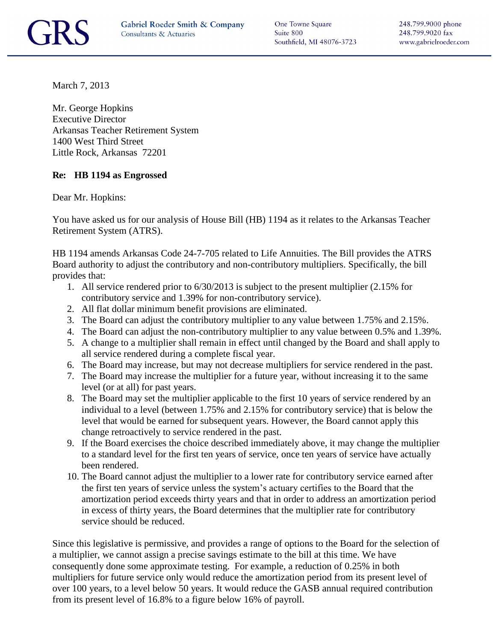One Towne Square Suite 800 Southfield, MI 48076-3723

March 7, 2013

Mr. George Hopkins Executive Director Arkansas Teacher Retirement System 1400 West Third Street Little Rock, Arkansas 72201

## **Re: HB 1194 as Engrossed**

Dear Mr. Hopkins:

You have asked us for our analysis of House Bill (HB) 1194 as it relates to the Arkansas Teacher Retirement System (ATRS).

HB 1194 amends Arkansas Code 24-7-705 related to Life Annuities. The Bill provides the ATRS Board authority to adjust the contributory and non-contributory multipliers. Specifically, the bill provides that:

- 1. All service rendered prior to 6/30/2013 is subject to the present multiplier (2.15% for contributory service and 1.39% for non-contributory service).
- 2. All flat dollar minimum benefit provisions are eliminated.
- 3. The Board can adjust the contributory multiplier to any value between 1.75% and 2.15%.
- 4. The Board can adjust the non-contributory multiplier to any value between 0.5% and 1.39%.
- 5. A change to a multiplier shall remain in effect until changed by the Board and shall apply to all service rendered during a complete fiscal year.
- 6. The Board may increase, but may not decrease multipliers for service rendered in the past.
- 7. The Board may increase the multiplier for a future year, without increasing it to the same level (or at all) for past years.
- 8. The Board may set the multiplier applicable to the first 10 years of service rendered by an individual to a level (between 1.75% and 2.15% for contributory service) that is below the level that would be earned for subsequent years. However, the Board cannot apply this change retroactively to service rendered in the past.
- 9. If the Board exercises the choice described immediately above, it may change the multiplier to a standard level for the first ten years of service, once ten years of service have actually been rendered.
- 10. The Board cannot adjust the multiplier to a lower rate for contributory service earned after the first ten years of service unless the system's actuary certifies to the Board that the amortization period exceeds thirty years and that in order to address an amortization period in excess of thirty years, the Board determines that the multiplier rate for contributory service should be reduced.

Since this legislative is permissive, and provides a range of options to the Board for the selection of a multiplier, we cannot assign a precise savings estimate to the bill at this time. We have consequently done some approximate testing. For example, a reduction of 0.25% in both multipliers for future service only would reduce the amortization period from its present level of over 100 years, to a level below 50 years. It would reduce the GASB annual required contribution from its present level of 16.8% to a figure below 16% of payroll.